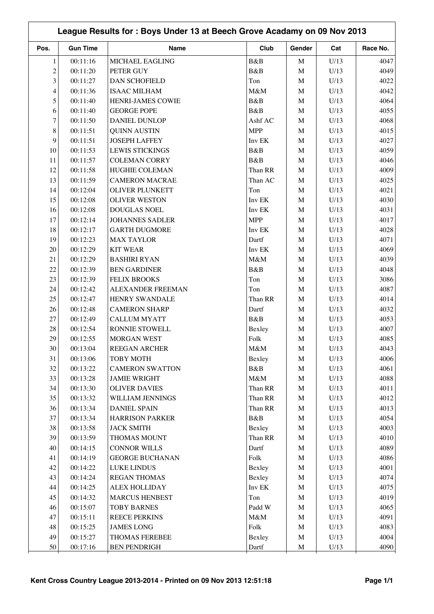| League Results for: Boys Under 13 at Beech Grove Acadamy on 09 Nov 2013 |                 |                        |            |             |      |          |
|-------------------------------------------------------------------------|-----------------|------------------------|------------|-------------|------|----------|
| Pos.                                                                    | <b>Gun Time</b> | <b>Name</b>            | Club       | Gender      | Cat  | Race No. |
| 1                                                                       | 00:11:16        | MICHAEL EAGLING        | B&B        | $\mathbf M$ | U/13 | 4047     |
| $\overline{c}$                                                          | 00:11:20        | PETER GUY              | B&B        | $\mathbf M$ | U/13 | 4049     |
| 3                                                                       | 00:11:27        | <b>DAN SCHOFIELD</b>   | Ton        | $\mathbf M$ | U/13 | 4022     |
| 4                                                                       | 00:11:36        | <b>ISAAC MILHAM</b>    | M&M        | $\mathbf M$ | U/13 | 4042     |
| 5                                                                       | 00:11:40        | HENRI-JAMES COWIE      | B&B        | M           | U/13 | 4064     |
| 6                                                                       | 00:11:40        | <b>GEORGE POPE</b>     | B&B        | M           | U/13 | 4055     |
| 7                                                                       | 00:11:50        | <b>DANIEL DUNLOP</b>   | Ashf AC    | M           | U/13 | 4068     |
| 8                                                                       | 00:11:51        | <b>QUINN AUSTIN</b>    | <b>MPP</b> | $\mathbf M$ | U/13 | 4015     |
| 9                                                                       | 00:11:51        | <b>JOSEPH LAFFEY</b>   | Inv EK     | $\mathbf M$ | U/13 | 4027     |
| 10                                                                      | 00:11:53        | <b>LEWIS STICKINGS</b> | B&B        | $\mathbf M$ | U/13 | 4059     |
| 11                                                                      | 00:11:57        | <b>COLEMAN CORRY</b>   | B&B        | $\mathbf M$ | U/13 | 4046     |
| 12                                                                      | 00:11:58        | <b>HUGHIE COLEMAN</b>  | Than RR    | $\mathbf M$ | U/13 | 4009     |
| 13                                                                      | 00:11:59        | <b>CAMERON MACRAE</b>  | Than AC    | $\mathbf M$ | U/13 | 4025     |
| 14                                                                      | 00:12:04        | OLIVER PLUNKETT        | Ton        | $\mathbf M$ | U/13 | 4021     |
| 15                                                                      | 00:12:08        | <b>OLIVER WESTON</b>   | Inv EK     | $\mathbf M$ | U/13 | 4030     |
| 16                                                                      | 00:12:08        | <b>DOUGLAS NOEL</b>    | Inv EK     | $\mathbf M$ | U/13 | 4031     |
| 17                                                                      | 00:12:14        | <b>JOHANNES SADLER</b> | <b>MPP</b> | $\mathbf M$ | U/13 | 4017     |
| 18                                                                      | 00:12:17        | <b>GARTH DUGMORE</b>   | Inv EK     | M           | U/13 | 4028     |
| 19                                                                      | 00:12:23        | <b>MAX TAYLOR</b>      | Dartf      | $\mathbf M$ | U/13 | 4071     |
| 20                                                                      | 00:12:29        | <b>KIT WEAR</b>        | Inv EK     | M           | U/13 | 4069     |
| 21                                                                      | 00:12:29        | <b>BASHIRI RYAN</b>    | $M\&M$     | M           | U/13 | 4039     |
| 22                                                                      | 00:12:39        | <b>BEN GARDINER</b>    | B&B        | M           | U/13 | 4048     |
| 23                                                                      |                 | <b>FELIX BROOKS</b>    | Ton        |             | U/13 | 3086     |
|                                                                         | 00:12:39        |                        |            | $\mathbf M$ |      |          |
| 24                                                                      | 00:12:42        | ALEXANDER FREEMAN      | Ton        | $\mathbf M$ | U/13 | 4087     |
| 25                                                                      | 00:12:47        | HENRY SWANDALE         | Than RR    | M           | U/13 | 4014     |
| 26                                                                      | 00:12:48        | <b>CAMERON SHARP</b>   | Dartf      | M           | U/13 | 4032     |
| 27                                                                      | 00:12:49        | <b>CALLUM MYATT</b>    | B&B        | $\mathbf M$ | U/13 | 4053     |
| 28                                                                      | 00:12:54        | RONNIE STOWELL         | Bexley     | $\mathbf M$ | U/13 | 4007     |
| 29                                                                      | 00:12:55        | MORGAN WEST            | Folk       | $\mathbf M$ | U/13 | 4085     |
| 30                                                                      | 00:13:04        | REEGAN ARCHER          | M&M        | M           | U/13 | 4043     |
| 31                                                                      | 00:13:06        | <b>TOBY MOTH</b>       | Bexley     | $\mathbf M$ | U/13 | 4006     |
| 32                                                                      | 00:13:22        | <b>CAMERON SWATTON</b> | B&B        | $\mathbf M$ | U/13 | 4061     |
| 33                                                                      | 00:13:28        | <b>JAMIE WRIGHT</b>    | $M\&M$     | $\mathbf M$ | U/13 | 4088     |
| 34                                                                      | 00:13:30        | <b>OLIVER DAVIES</b>   | Than RR    | $\mathbf M$ | U/13 | 4011     |
| 35                                                                      | 00:13:32        | WILLIAM JENNINGS       | Than RR    | $\mathbf M$ | U/13 | 4012     |
| 36                                                                      | 00:13:34        | <b>DANIEL SPAIN</b>    | Than RR    | $\mathbf M$ | U/13 | 4013     |
| 37                                                                      | 00:13:34        | <b>HARRISON PARKER</b> | B&B        | $\mathbf M$ | U/13 | 4054     |
| 38                                                                      | 00:13:58        | <b>JACK SMITH</b>      | Bexley     | $\mathbf M$ | U/13 | 4003     |
| 39                                                                      | 00:13:59        | THOMAS MOUNT           | Than RR    | $\mathbf M$ | U/13 | 4010     |
| 40                                                                      | 00:14:15        | <b>CONNOR WILLS</b>    | Dartf      | $\mathbf M$ | U/13 | 4089     |
| 41                                                                      | 00:14:19        | <b>GEORGE BUCHANAN</b> | Folk       | $\mathbf M$ | U/13 | 4086     |
| $42\,$                                                                  | 00:14:22        | LUKE LINDUS            | Bexley     | $\mathbf M$ | U/13 | 4001     |
| 43                                                                      | 00:14:24        | <b>REGAN THOMAS</b>    | Bexley     | $\mathbf M$ | U/13 | 4074     |
| 44                                                                      | 00:14:25        | <b>ALEX HOLLIDAY</b>   | Inv EK     | $\mathbf M$ | U/13 | 4075     |
| 45                                                                      | 00:14:32        | <b>MARCUS HENBEST</b>  | Ton        | $\mathbf M$ | U/13 | 4019     |
| 46                                                                      | 00:15:07        | <b>TOBY BARNES</b>     | Padd W     | $\mathbf M$ | U/13 | 4065     |
| 47                                                                      | 00:15:11        | <b>REECE PERKINS</b>   | $M\&M$     | $\mathbf M$ | U/13 | 4091     |
| 48                                                                      | 00:15:25        | <b>JAMES LONG</b>      | Folk       | $\mathbf M$ | U/13 | 4083     |
| 49                                                                      | 00:15:27        | THOMAS FEREBEE         | Bexley     | $\mathbf M$ | U/13 | 4004     |
| 50                                                                      | 00:17:16        | <b>BEN PENDRIGH</b>    | Dartf      | $\mathbf M$ | U/13 | 4090     |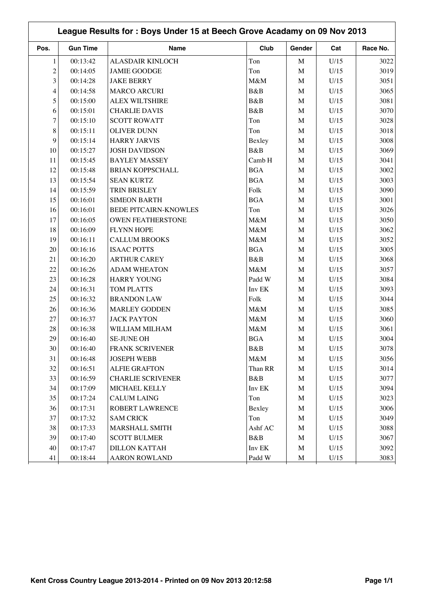|                | League Results for: Boys Under 15 at Beech Grove Acadamy on 09 Nov 2013 |                              |            |             |      |          |  |  |
|----------------|-------------------------------------------------------------------------|------------------------------|------------|-------------|------|----------|--|--|
| Pos.           | <b>Gun Time</b>                                                         | <b>Name</b>                  | Club       | Gender      | Cat  | Race No. |  |  |
| $\mathbf{1}$   | 00:13:42                                                                | ALASDAIR KINLOCH             | Ton        | $\mathbf M$ | U/15 | 3022     |  |  |
| $\overline{c}$ | 00:14:05                                                                | <b>JAMIE GOODGE</b>          | Ton        | $\mathbf M$ | U/15 | 3019     |  |  |
| 3              | 00:14:28                                                                | <b>JAKE BERRY</b>            | M&M        | $\mathbf M$ | U/15 | 3051     |  |  |
| 4              | 00:14:58                                                                | <b>MARCO ARCURI</b>          | B&B        | $\mathbf M$ | U/15 | 3065     |  |  |
| 5              | 00:15:00                                                                | <b>ALEX WILTSHIRE</b>        | B&B        | $\mathbf M$ | U/15 | 3081     |  |  |
| 6              | 00:15:01                                                                | <b>CHARLIE DAVIS</b>         | B&B        | $\mathbf M$ | U/15 | 3070     |  |  |
| 7              | 00:15:10                                                                | <b>SCOTT ROWATT</b>          | Ton        | $\mathbf M$ | U/15 | 3028     |  |  |
| 8              | 00:15:11                                                                | <b>OLIVER DUNN</b>           | Ton        | $\mathbf M$ | U/15 | 3018     |  |  |
| 9              | 00:15:14                                                                | <b>HARRY JARVIS</b>          | Bexley     | $\mathbf M$ | U/15 | 3008     |  |  |
| 10             | 00:15:27                                                                | <b>JOSH DAVIDSON</b>         | B&B        | $\mathbf M$ | U/15 | 3069     |  |  |
| 11             | 00:15:45                                                                | <b>BAYLEY MASSEY</b>         | Camb H     | $\mathbf M$ | U/15 | 3041     |  |  |
| 12             | 00:15:48                                                                | <b>BRIAN KOPPSCHALL</b>      | <b>BGA</b> | $\mathbf M$ | U/15 | 3002     |  |  |
| 13             | 00:15:54                                                                | <b>SEAN KURTZ</b>            | <b>BGA</b> | $\mathbf M$ | U/15 | 3003     |  |  |
| 14             | 00:15:59                                                                | TRIN BRISLEY                 | Folk       | $\mathbf M$ | U/15 | 3090     |  |  |
| 15             | 00:16:01                                                                | <b>SIMEON BARTH</b>          | <b>BGA</b> | $\mathbf M$ | U/15 | 3001     |  |  |
| 16             | 00:16:01                                                                | <b>BEDE PITCAIRN-KNOWLES</b> | Ton        | $\mathbf M$ | U/15 | 3026     |  |  |
| 17             | 00:16:05                                                                | <b>OWEN FEATHERSTONE</b>     | M&M        | $\mathbf M$ | U/15 | 3050     |  |  |
| 18             | 00:16:09                                                                | <b>FLYNN HOPE</b>            | M&M        | $\mathbf M$ | U/15 | 3062     |  |  |
| 19             | 00:16:11                                                                | <b>CALLUM BROOKS</b>         | M&M        | $\mathbf M$ | U/15 | 3052     |  |  |
| 20             | 00:16:16                                                                | <b>ISAAC POTTS</b>           | <b>BGA</b> | $\mathbf M$ | U/15 | 3005     |  |  |
| 21             | 00:16:20                                                                | <b>ARTHUR CAREY</b>          | B&B        | $\mathbf M$ | U/15 | 3068     |  |  |
| 22             | 00:16:26                                                                | <b>ADAM WHEATON</b>          | M&M        | $\mathbf M$ | U/15 | 3057     |  |  |
| 23             | 00:16:28                                                                | <b>HARRY YOUNG</b>           | Padd W     | $\mathbf M$ | U/15 | 3084     |  |  |
| 24             | 00:16:31                                                                | TOM PLATTS                   | Inv EK     | $\mathbf M$ | U/15 | 3093     |  |  |
| 25             | 00:16:32                                                                | <b>BRANDON LAW</b>           | Folk       | $\mathbf M$ | U/15 | 3044     |  |  |
| 26             | 00:16:36                                                                | <b>MARLEY GODDEN</b>         | M&M        | $\mathbf M$ | U/15 | 3085     |  |  |
| 27             | 00:16:37                                                                | <b>JACK PAYTON</b>           | M&M        | $\mathbf M$ | U/15 | 3060     |  |  |
| 28             | 00:16:38                                                                | WILLIAM MILHAM               | M&M        | $\mathbf M$ | U/15 | 3061     |  |  |
| 29             | 00:16:40                                                                | <b>SE-JUNE OH</b>            | <b>BGA</b> | $\mathbf M$ | U/15 | 3004     |  |  |
| $30\,$         | 00:16:40                                                                | FRANK SCRIVENER              | B&B        | $\mathbf M$ | U/15 | 3078     |  |  |
| 31             | 00:16:48                                                                | <b>JOSEPH WEBB</b>           | M&M        | $\mathbf M$ | U/15 | 3056     |  |  |
| 32             | 00:16:51                                                                | <b>ALFIE GRAFTON</b>         | Than RR    | $\mathbf M$ | U/15 | 3014     |  |  |
| 33             | 00:16:59                                                                | <b>CHARLIE SCRIVENER</b>     | B&B        | $\mathbf M$ | U/15 | 3077     |  |  |
| 34             | 00:17:09                                                                | MICHAEL KELLY                | Inv EK     | $\mathbf M$ | U/15 | 3094     |  |  |
| 35             | 00:17:24                                                                | <b>CALUM LAING</b>           | Ton        | $\mathbf M$ | U/15 | 3023     |  |  |
| 36             | 00:17:31                                                                | ROBERT LAWRENCE              | Bexley     | $\mathbf M$ | U/15 | 3006     |  |  |
| 37             | 00:17:32                                                                | <b>SAM CRICK</b>             | Ton        | $\mathbf M$ | U/15 | 3049     |  |  |
| 38             | 00:17:33                                                                | <b>MARSHALL SMITH</b>        | Ashf AC    | M           | U/15 | 3088     |  |  |
| 39             | 00:17:40                                                                | <b>SCOTT BULMER</b>          | B&B        | $\mathbf M$ | U/15 | 3067     |  |  |
| 40             | 00:17:47                                                                | <b>DILLON KATTAH</b>         | Inv EK     | $\mathbf M$ | U/15 | 3092     |  |  |
| 41             | 00:18:44                                                                | <b>AARON ROWLAND</b>         | Padd W     | $\mathbf M$ | U/15 | 3083     |  |  |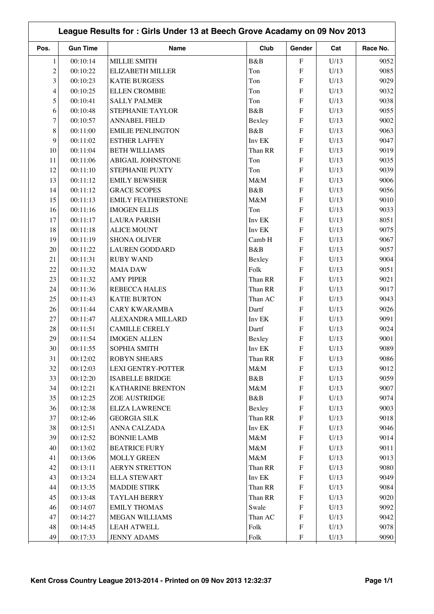|                | League Results for: Girls Under 13 at Beech Grove Acadamy on 09 Nov 2013 |                           |                |                           |      |          |  |
|----------------|--------------------------------------------------------------------------|---------------------------|----------------|---------------------------|------|----------|--|
| Pos.           | <b>Gun Time</b>                                                          | Name                      | Club           | Gender                    | Cat  | Race No. |  |
| $\mathbf{1}$   | 00:10:14                                                                 | <b>MILLIE SMITH</b>       | B&B            | ${\bf F}$                 | U/13 | 9052     |  |
| $\overline{c}$ | 00:10:22                                                                 | <b>ELIZABETH MILLER</b>   | Ton            | F                         | U/13 | 9085     |  |
| 3              | 00:10:23                                                                 | <b>KATIE BURGESS</b>      | Ton            | F                         | U/13 | 9029     |  |
| 4              | 00:10:25                                                                 | <b>ELLEN CROMBIE</b>      | Ton            | F                         | U/13 | 9032     |  |
| 5              | 00:10:41                                                                 | <b>SALLY PALMER</b>       | Ton            | ${\rm F}$                 | U/13 | 9038     |  |
| 6              | 00:10:48                                                                 | STEPHANIE TAYLOR          | B&B            | F                         | U/13 | 9055     |  |
| $\overline{7}$ | 00:10:57                                                                 | <b>ANNABEL FIELD</b>      | Bexley         | ${\rm F}$                 | U/13 | 9002     |  |
| $8\,$          | 00:11:00                                                                 | <b>EMILIE PENLINGTON</b>  | <b>B&amp;B</b> | F                         | U/13 | 9063     |  |
| 9              | 00:11:02                                                                 | <b>ESTHER LAFFEY</b>      | Inv EK         | ${\rm F}$                 | U/13 | 9047     |  |
| 10             | 00:11:04                                                                 | <b>BETH WILLIAMS</b>      | Than RR        | F                         | U/13 | 9019     |  |
| 11             | 00:11:06                                                                 | <b>ABIGAIL JOHNSTONE</b>  | Ton            | ${\rm F}$                 | U/13 | 9035     |  |
| 12             | 00:11:10                                                                 | STEPHANIE PUXTY           | Ton            | F                         | U/13 | 9039     |  |
| 13             | 00:11:12                                                                 | <b>EMILY BEWSHER</b>      | M&M            | ${\rm F}$                 | U/13 | 9006     |  |
| 14             | 00:11:12                                                                 | <b>GRACE SCOPES</b>       | B&B            | $\overline{F}$            | U/13 | 9056     |  |
| 15             | 00:11:13                                                                 | <b>EMILY FEATHERSTONE</b> | M&M            | F                         | U/13 | 9010     |  |
| 16             | 00:11:16                                                                 | <b>IMOGEN ELLIS</b>       | Ton            | F                         | U/13 | 9033     |  |
| 17             | 00:11:17                                                                 | <b>LAURA PARISH</b>       | Inv EK         | F                         | U/13 | 8051     |  |
| 18             | 00:11:18                                                                 | <b>ALICE MOUNT</b>        | Inv EK         | F                         | U/13 | 9075     |  |
| 19             | 00:11:19                                                                 | <b>SHONA OLIVER</b>       | Camb H         | ${\rm F}$                 | U/13 | 9067     |  |
| 20             | 00:11:22                                                                 | <b>LAUREN GODDARD</b>     | B&B            | ${\rm F}$                 | U/13 | 9057     |  |
| 21             | 00:11:31                                                                 | <b>RUBY WAND</b>          | Bexley         | ${\rm F}$                 | U/13 | 9004     |  |
| 22             | 00:11:32                                                                 | <b>MAIA DAW</b>           | Folk           | F                         | U/13 | 9051     |  |
| 23             | 00:11:32                                                                 | <b>AMY PIPER</b>          | Than RR        | F                         | U/13 | 9021     |  |
| 24             | 00:11:36                                                                 | REBECCA HALES             | Than RR        | F                         | U/13 | 9017     |  |
| 25             | 00:11:43                                                                 | <b>KATIE BURTON</b>       | Than AC        | F                         | U/13 | 9043     |  |
| 26             | 00:11:44                                                                 | <b>CARY KWARAMBA</b>      | Dartf          | F                         | U/13 | 9026     |  |
| 27             | 00:11:47                                                                 | ALEXANDRA MILLARD         | Inv EK         | ${\rm F}$                 | U/13 | 9091     |  |
| 28             | 00:11:51                                                                 | <b>CAMILLE CERELY</b>     | Dartf          | ${\rm F}$                 | U/13 | 9024     |  |
| 29             | 00:11:54                                                                 | <b>IMOGEN ALLEN</b>       | Bexley         | F                         | U/13 | 9001     |  |
| $30\,$         | 00:11:55                                                                 | SOPHIA SMITH              | Inv EK         | ${\bf F}$                 | U/13 | 9089     |  |
| 31             | 00:12:02                                                                 | <b>ROBYN SHEARS</b>       | Than RR        | F                         | U/13 | 9086     |  |
| 32             | 00:12:03                                                                 | <b>LEXI GENTRY-POTTER</b> | $M\&M$         | $\boldsymbol{\mathrm{F}}$ | U/13 | 9012     |  |
| 33             | 00:12:20                                                                 | <b>ISABELLE BRIDGE</b>    | B&B            | ${\bf F}$                 | U/13 | 9059     |  |
| 34             | 00:12:21                                                                 | <b>KATHARINE BRENTON</b>  | $M\&M$         | $\boldsymbol{\mathrm{F}}$ | U/13 | 9007     |  |
| 35             | 00:12:25                                                                 | ZOE AUSTRIDGE             | B&B            | $\boldsymbol{\mathrm{F}}$ | U/13 | 9074     |  |
| 36             | 00:12:38                                                                 | <b>ELIZA LAWRENCE</b>     | Bexley         | F                         | U/13 | 9003     |  |
| 37             | 00:12:46                                                                 | <b>GEORGIA SILK</b>       | Than RR        | $\boldsymbol{\mathrm{F}}$ | U/13 | 9018     |  |
| 38             | 00:12:51                                                                 | ANNA CALZADA              | Inv EK         | $\boldsymbol{\mathrm{F}}$ | U/13 | 9046     |  |
| 39             | 00:12:52                                                                 | <b>BONNIE LAMB</b>        | $M\&M$         | $\boldsymbol{\mathrm{F}}$ | U/13 | 9014     |  |
| 40             | 00:13:02                                                                 | <b>BEATRICE FURY</b>      | $M\&M$         | $\boldsymbol{\mathrm{F}}$ | U/13 | 9011     |  |
| 41             | 00:13:06                                                                 | <b>MOLLY GREEN</b>        | $M\&M$         | $\boldsymbol{\mathrm{F}}$ | U/13 | 9013     |  |
| 42             | 00:13:11                                                                 | <b>AERYN STRETTON</b>     | Than RR        | ${\bf F}$                 | U/13 | 9080     |  |
| 43             | 00:13:24                                                                 | <b>ELLA STEWART</b>       | Inv EK         | $\boldsymbol{\mathrm{F}}$ | U/13 | 9049     |  |
| 44             | 00:13:35                                                                 | <b>MADDIE STIRK</b>       | Than RR        | $\boldsymbol{\mathrm{F}}$ | U/13 | 9084     |  |
| 45             | 00:13:48                                                                 | <b>TAYLAH BERRY</b>       | Than RR        | $\boldsymbol{\mathrm{F}}$ | U/13 | 9020     |  |
| 46             | 00:14:07                                                                 | <b>EMILY THOMAS</b>       | Swale          | $\boldsymbol{\mathrm{F}}$ | U/13 | 9092     |  |
| 47             | 00:14:27                                                                 | MEGAN WILLIAMS            | Than AC        | ${\rm F}$                 | U/13 | 9042     |  |
| 48             | 00:14:45                                                                 | <b>LEAH ATWELL</b>        | Folk           | ${\bf F}$                 | U/13 | 9078     |  |
| 49             | 00:17:33                                                                 | <b>JENNY ADAMS</b>        | Folk           | $\boldsymbol{\mathrm{F}}$ | U/13 | 9090     |  |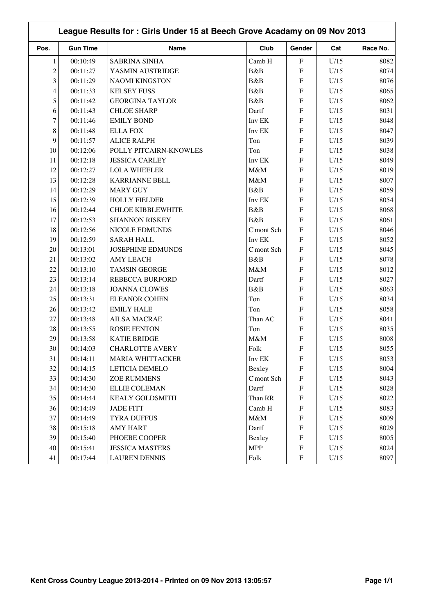|                |                 | League Results for: Girls Under 15 at Beech Grove Acadamy on 09 Nov 2013 |            |                           |      |          |
|----------------|-----------------|--------------------------------------------------------------------------|------------|---------------------------|------|----------|
| Pos.           | <b>Gun Time</b> | Name                                                                     | Club       | Gender                    | Cat  | Race No. |
| $\mathbf{1}$   | 00:10:49        | <b>SABRINA SINHA</b>                                                     | Camb H     | $\mathbf F$               | U/15 | 8082     |
| $\overline{c}$ | 00:11:27        | YASMIN AUSTRIDGE                                                         | B&B        | $\mathbf{F}$              | U/15 | 8074     |
| 3              | 00:11:29        | <b>NAOMI KINGSTON</b>                                                    | B&B        | F                         | U/15 | 8076     |
| 4              | 00:11:33        | <b>KELSEY FUSS</b>                                                       | B&B        | F                         | U/15 | 8065     |
| 5              | 00:11:42        | <b>GEORGINA TAYLOR</b>                                                   | B&B        | F                         | U/15 | 8062     |
| 6              | 00:11:43        | <b>CHLOE SHARP</b>                                                       | Dartf      | F                         | U/15 | 8031     |
| 7              | 00:11:46        | <b>EMILY BOND</b>                                                        | Inv EK     | F                         | U/15 | 8048     |
| 8              | 00:11:48        | <b>ELLA FOX</b>                                                          | Inv EK     | F                         | U/15 | 8047     |
| 9              | 00:11:57        | <b>ALICE RALPH</b>                                                       | Ton        | F                         | U/15 | 8039     |
| 10             | 00:12:06        | POLLY PITCAIRN-KNOWLES                                                   | Ton        | $\mathbf F$               | U/15 | 8038     |
| 11             | 00:12:18        | <b>JESSICA CARLEY</b>                                                    | Inv EK     | F                         | U/15 | 8049     |
| 12             | 00:12:27        | <b>LOLA WHEELER</b>                                                      | M&M        | F                         | U/15 | 8019     |
| 13             | 00:12:28        | <b>KARRIANNE BELL</b>                                                    | M&M        | F                         | U/15 | 8007     |
| 14             | 00:12:29        | <b>MARY GUY</b>                                                          | B&B        | $\mathbf F$               | U/15 | 8059     |
| 15             | 00:12:39        | <b>HOLLY FIELDER</b>                                                     | Inv EK     | F                         | U/15 | 8054     |
| 16             | 00:12:44        | <b>CHLOE KIBBLEWHITE</b>                                                 | B&B        | F                         | U/15 | 8068     |
| 17             | 00:12:53        | <b>SHANNON RISKEY</b>                                                    | B&B        | $\mathbf{F}$              | U/15 | 8061     |
| 18             | 00:12:56        | NICOLE EDMUNDS                                                           | C'mont Sch | F                         | U/15 | 8046     |
| 19             | 00:12:59        | <b>SARAH HALL</b>                                                        | Inv EK     | $\mathbf{F}$              | U/15 | 8052     |
| 20             | 00:13:01        | <b>JOSEPHINE EDMUNDS</b>                                                 | C'mont Sch | F                         | U/15 | 8045     |
| 21             | 00:13:02        | <b>AMY LEACH</b>                                                         | B&B        | $\mathbf F$               | U/15 | 8078     |
| 22             | 00:13:10        | <b>TAMSIN GEORGE</b>                                                     | M&M        | F                         | U/15 | 8012     |
| 23             | 00:13:14        | <b>REBECCA BURFORD</b>                                                   | Dartf      | $\mathbf{F}$              | U/15 | 8027     |
| 24             | 00:13:18        | <b>JOANNA CLOWES</b>                                                     | B&B        | F                         | U/15 | 8063     |
| 25             | 00:13:31        | <b>ELEANOR COHEN</b>                                                     | Ton        | F                         | U/15 | 8034     |
| 26             | 00:13:42        | <b>EMILY HALE</b>                                                        | Ton        | $\rm F$                   | U/15 | 8058     |
| 27             | 00:13:48        | <b>AILSA MACRAE</b>                                                      | Than AC    | F                         | U/15 | 8041     |
| 28             | 00:13:55        | <b>ROSIE FENTON</b>                                                      | Ton        | $\mathbf{F}$              | U/15 | 8035     |
| 29             | 00:13:58        | <b>KATIE BRIDGE</b>                                                      | M&M        | F                         | U/15 | 8008     |
| $30\,$         | 00:14:03        | <b>CHARLOTTE AVERY</b>                                                   | Folk       | $\boldsymbol{\mathrm{F}}$ | U/15 | 8055     |
| 31             | 00:14:11        | <b>MARIA WHITTACKER</b>                                                  | Inv EK     | $\boldsymbol{\mathrm{F}}$ | U/15 | 8053     |
| 32             | 00:14:15        | LETICIA DEMELO                                                           | Bexley     | $\mathbf F$               | U/15 | 8004     |
| 33             | 00:14:30        | <b>ZOE RUMMENS</b>                                                       | C'mont Sch | $\boldsymbol{\mathrm{F}}$ | U/15 | 8043     |
| 34             | 00:14:30        | <b>ELLIE COLEMAN</b>                                                     | Dartf      | $\boldsymbol{\mathrm{F}}$ | U/15 | 8028     |
| 35             | 00:14:44        | <b>KEALY GOLDSMITH</b>                                                   | Than RR    | $\mathbf F$               | U/15 | 8022     |
| 36             | 00:14:49        | <b>JADE FITT</b>                                                         | Camb H     | $\mathbf F$               | U/15 | 8083     |
| 37             | 00:14:49        | <b>TYRA DUFFUS</b>                                                       | M&M        | $\boldsymbol{\mathrm{F}}$ | U/15 | 8009     |
| 38             | 00:15:18        | <b>AMY HART</b>                                                          | Dartf      | $\mathbf F$               | U/15 | 8029     |
| 39             | 00:15:40        | PHOEBE COOPER                                                            | Bexley     | $\mathbf F$               | U/15 | 8005     |
| 40             | 00:15:41        | <b>JESSICA MASTERS</b>                                                   | <b>MPP</b> | $\mathbf F$               | U/15 | 8024     |
| 41             | 00:17:44        | <b>LAUREN DENNIS</b>                                                     | Folk       | $\mathbf F$               | U/15 | 8097     |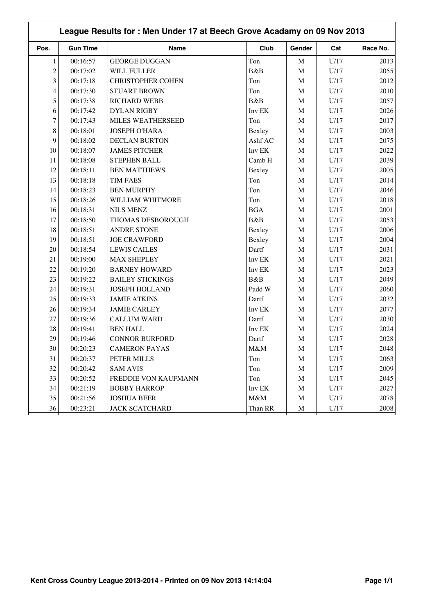|                | League Results for: Men Under 17 at Beech Grove Acadamy on 09 Nov 2013 |                          |            |             |      |          |  |
|----------------|------------------------------------------------------------------------|--------------------------|------------|-------------|------|----------|--|
| Pos.           | <b>Gun Time</b>                                                        | Name                     | Club       | Gender      | Cat  | Race No. |  |
| $\mathbf{1}$   | 00:16:57                                                               | <b>GEORGE DUGGAN</b>     | Ton        | $\mathbf M$ | U/17 | 2013     |  |
| $\overline{c}$ | 00:17:02                                                               | <b>WILL FULLER</b>       | B&B        | $\mathbf M$ | U/17 | 2055     |  |
| 3              | 00:17:18                                                               | <b>CHRISTOPHER COHEN</b> | Ton        | $\mathbf M$ | U/17 | 2012     |  |
| 4              | 00:17:30                                                               | <b>STUART BROWN</b>      | Ton        | $\mathbf M$ | U/17 | 2010     |  |
| 5              | 00:17:38                                                               | RICHARD WEBB             | B&B        | $\mathbf M$ | U/17 | 2057     |  |
| 6              | 00:17:42                                                               | <b>DYLAN RIGBY</b>       | Inv EK     | $\mathbf M$ | U/17 | 2026     |  |
| $\overline{7}$ | 00:17:43                                                               | MILES WEATHERSEED        | Ton        | $\mathbf M$ | U/17 | 2017     |  |
| 8              | 00:18:01                                                               | <b>JOSEPH O'HARA</b>     | Bexley     | $\mathbf M$ | U/17 | 2003     |  |
| 9              | 00:18:02                                                               | <b>DECLAN BURTON</b>     | Ashf AC    | $\mathbf M$ | U/17 | 2075     |  |
| 10             | 00:18:07                                                               | <b>JAMES PITCHER</b>     | Inv EK     | $\mathbf M$ | U/17 | 2022     |  |
| 11             | 00:18:08                                                               | <b>STEPHEN BALL</b>      | Camb H     | $\mathbf M$ | U/17 | 2039     |  |
| 12             | 00:18:11                                                               | <b>BEN MATTHEWS</b>      | Bexley     | $\mathbf M$ | U/17 | 2005     |  |
| 13             | 00:18:18                                                               | <b>TIM FAES</b>          | Ton        | $\mathbf M$ | U/17 | 2014     |  |
| 14             | 00:18:23                                                               | <b>BEN MURPHY</b>        | Ton        | $\mathbf M$ | U/17 | 2046     |  |
| 15             | 00:18:26                                                               | WILLIAM WHITMORE         | Ton        | M           | U/17 | 2018     |  |
| 16             | 00:18:31                                                               | <b>NILS MENZ</b>         | <b>BGA</b> | M           | U/17 | 2001     |  |
| 17             | 00:18:50                                                               | THOMAS DESBOROUGH        | B&B        | M           | U/17 | 2053     |  |
| 18             | 00:18:51                                                               | <b>ANDRE STONE</b>       | Bexley     | $\mathbf M$ | U/17 | 2006     |  |
| 19             | 00:18:51                                                               | <b>JOE CRAWFORD</b>      | Bexley     | $\mathbf M$ | U/17 | 2004     |  |
| 20             | 00:18:54                                                               | <b>LEWIS CAILES</b>      | Dartf      | $\mathbf M$ | U/17 | 2031     |  |
| 21             | 00:19:00                                                               | <b>MAX SHEPLEY</b>       | Inv EK     | $\mathbf M$ | U/17 | 2021     |  |
| 22             | 00:19:20                                                               | <b>BARNEY HOWARD</b>     | Inv EK     | $\mathbf M$ | U/17 | 2023     |  |
| 23             | 00:19:22                                                               | <b>BAILEY STICKINGS</b>  | B&B        | $\mathbf M$ | U/17 | 2049     |  |
| 24             | 00:19:31                                                               | <b>JOSEPH HOLLAND</b>    | Padd W     | $\mathbf M$ | U/17 | 2060     |  |
| 25             | 00:19:33                                                               | <b>JAMIE ATKINS</b>      | Dartf      | $\mathbf M$ | U/17 | 2032     |  |
| 26             | 00:19:34                                                               | <b>JAMIE CARLEY</b>      | Inv EK     | $\mathbf M$ | U/17 | 2077     |  |
| 27             | 00:19:36                                                               | <b>CALLUM WARD</b>       | Dartf      | $\mathbf M$ | U/17 | 2030     |  |
| 28             | 00:19:41                                                               | <b>BEN HALL</b>          | Inv EK     | $\mathbf M$ | U/17 | 2024     |  |
| 29             | 00:19:46                                                               | <b>CONNOR BURFORD</b>    | Dartf      | $\mathbf M$ | U/17 | 2028     |  |
| 30             | 00:20:23                                                               | <b>CAMERON PAYAS</b>     | M&M        | M           | U/17 | 2048     |  |
| 31             | 00:20:37                                                               | PETER MILLS              | Ton        | M           | U/17 | 2063     |  |
| 32             | 00:20:42                                                               | <b>SAM AVIS</b>          | Ton        | M           | U/17 | 2009     |  |
| 33             | 00:20:52                                                               | FREDDIE VON KAUFMANN     | Ton        | M           | U/17 | 2045     |  |
| 34             | 00:21:19                                                               | <b>BOBBY HARROP</b>      | Inv EK     | M           | U/17 | 2027     |  |
| 35             | 00:21:56                                                               | <b>JOSHUA BEER</b>       | $M\&M$     | $\mathbf M$ | U/17 | 2078     |  |
| 36             | 00:23:21                                                               | <b>JACK SCATCHARD</b>    | Than RR    | $\mathbf M$ | U/17 | 2008     |  |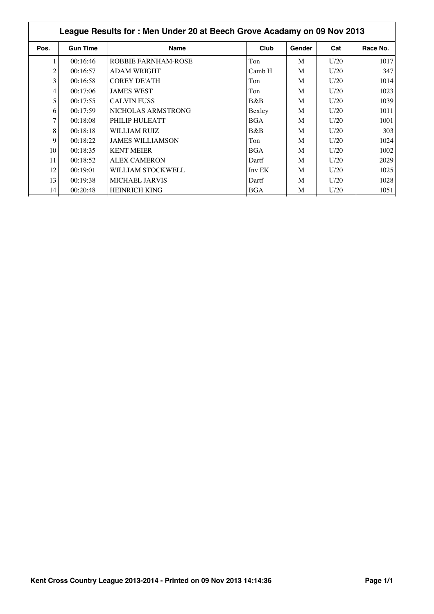|      | League Results for: Men Under 20 at Beech Grove Acadamy on 09 Nov 2013 |                            |            |        |      |          |  |
|------|------------------------------------------------------------------------|----------------------------|------------|--------|------|----------|--|
| Pos. | <b>Gun Time</b>                                                        | <b>Name</b>                | Club       | Gender | Cat  | Race No. |  |
|      | 00:16:46                                                               | <b>ROBBIE FARNHAM-ROSE</b> | Ton        | M      | U/20 | 1017     |  |
| 2    | 00:16:57                                                               | <b>ADAM WRIGHT</b>         | Camb H     | M      | U/20 | 347      |  |
| 3    | 00:16:58                                                               | <b>COREY DE'ATH</b>        | Ton        | M      | U/20 | 1014     |  |
| 4    | 00:17:06                                                               | <b>JAMES WEST</b>          | Ton        | M      | U/20 | 1023     |  |
| 5    | 00:17:55                                                               | <b>CALVIN FUSS</b>         | B&B        | M      | U/20 | 1039     |  |
| 6    | 00:17:59                                                               | NICHOLAS ARMSTRONG         | Bexley     | M      | U/20 | 1011     |  |
| 7    | 00:18:08                                                               | PHILIP HULEATT             | <b>BGA</b> | M      | U/20 | 1001     |  |
| 8    | 00:18:18                                                               | WILLIAM RUIZ               | B&B        | M      | U/20 | 303      |  |
| 9    | 00:18:22                                                               | <b>JAMES WILLIAMSON</b>    | Ton        | M      | U/20 | 1024     |  |
| 10   | 00:18:35                                                               | <b>KENT MEIER</b>          | <b>BGA</b> | M      | U/20 | 1002     |  |
| 11   | 00:18:52                                                               | <b>ALEX CAMERON</b>        | Dartf      | M      | U/20 | 2029     |  |
| 12   | 00:19:01                                                               | WILLIAM STOCKWELL          | Inv EK     | M      | U/20 | 1025     |  |
| 13   | 00:19:38                                                               | <b>MICHAEL JARVIS</b>      | Dartf      | M      | U/20 | 1028     |  |
| 14   | 00:20:48                                                               | <b>HEINRICH KING</b>       | <b>BGA</b> | M      | U/20 | 1051     |  |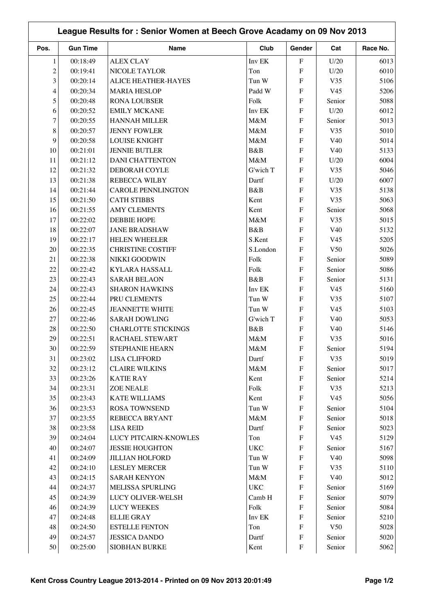|                | League Results for: Senior Women at Beech Grove Acadamy on 09 Nov 2013 |                            |            |                           |                 |          |  |
|----------------|------------------------------------------------------------------------|----------------------------|------------|---------------------------|-----------------|----------|--|
| Pos.           | <b>Gun Time</b>                                                        | <b>Name</b>                | Club       | Gender                    | Cat             | Race No. |  |
| $\mathbf{1}$   | 00:18:49                                                               | <b>ALEX CLAY</b>           | Inv EK     | $\mathbf F$               | U/20            | 6013     |  |
| $\overline{c}$ | 00:19:41                                                               | NICOLE TAYLOR              | Ton        | $\mathbf{F}$              | U/20            | 6010     |  |
| 3              | 00:20:14                                                               | <b>ALICE HEATHER-HAYES</b> | Tun W      | $\mathbf F$               | V35             | 5106     |  |
| 4              | 00:20:34                                                               | <b>MARIA HESLOP</b>        | Padd W     | $\mathbf F$               | V <sub>45</sub> | 5206     |  |
| 5              | 00:20:48                                                               | <b>RONA LOUBSER</b>        | Folk       | $\mathbf F$               | Senior          | 5088     |  |
| 6              | 00:20:52                                                               | <b>EMILY MCKANE</b>        | Inv EK     | $\mathbf F$               | U/20            | 6012     |  |
| $\overline{7}$ | 00:20:55                                                               | HANNAH MILLER              | M&M        | $\mathbf F$               | Senior          | 5013     |  |
| $\,8\,$        | 00:20:57                                                               | <b>JENNY FOWLER</b>        | M&M        | $\boldsymbol{\mathrm{F}}$ | V35             | 5010     |  |
| 9              | 00:20:58                                                               | <b>LOUISE KNIGHT</b>       | M&M        | F                         | V40             | 5014     |  |
| 10             | 00:21:01                                                               | <b>JENNIE BUTLER</b>       | B&B        | $\mathbf{F}$              | V40             | 5133     |  |
| 11             | 00:21:12                                                               | <b>DANI CHATTENTON</b>     | M&M        | $\mathbf F$               | U/20            | 6004     |  |
| 12             | 00:21:32                                                               | DEBORAH COYLE              | G'wich T   | $\mathbf F$               | V35             | 5046     |  |
| 13             | 00:21:38                                                               | <b>REBECCA WILBY</b>       | Dartf      | $\mathbf F$               | U/20            | 6007     |  |
| 14             | 00:21:44                                                               | <b>CAROLE PENNLINGTON</b>  | B&B        | $\mathbf F$               | V35             | 5138     |  |
| 15             | 00:21:50                                                               | <b>CATH STIBBS</b>         | Kent       | $\mathbf F$               | V35             | 5063     |  |
| 16             | 00:21:55                                                               | <b>AMY CLEMENTS</b>        | Kent       | F                         | Senior          | 5068     |  |
| 17             | 00:22:02                                                               | <b>DEBBIE HOPE</b>         | M&M        | $\mathbf F$               | V35             | 5015     |  |
| 18             | 00:22:07                                                               | <b>JANE BRADSHAW</b>       | B&B        | F                         | V40             | 5132     |  |
| 19             | 00:22:17                                                               | <b>HELEN WHEELER</b>       | S.Kent     | $\mathbf F$               | V <sub>45</sub> | 5205     |  |
| 20             | 00:22:35                                                               | <b>CHRISTINE COSTIFF</b>   | S.London   | $\mathbf F$               | V50             | 5026     |  |
| 21             | 00:22:38                                                               | NIKKI GOODWIN              | Folk       | $\mathbf F$               | Senior          | 5089     |  |
| 22             | 00:22:42                                                               | KYLARA HASSALL             | Folk       | $\mathbf F$               | Senior          | 5086     |  |
| 23             | 00:22:43                                                               | <b>SARAH BELAON</b>        | B&B        | $\mathbf{F}$              | Senior          | 5131     |  |
| 24             | 00:22:43                                                               | <b>SHARON HAWKINS</b>      | Inv EK     | F                         | V <sub>45</sub> | 5160     |  |
| 25             | 00:22:44                                                               | PRU CLEMENTS               | Tun W      | $\mathbf{F}$              | V35             | 5107     |  |
| 26             | 00:22:45                                                               | <b>JEANNETTE WHITE</b>     | Tun W      | $\boldsymbol{\mathrm{F}}$ | V <sub>45</sub> | 5103     |  |
| 27             | 00:22:46                                                               | <b>SARAH DOWLING</b>       | G'wich T   | $\mathbf{F}$              | V40             | 5053     |  |
| 28             | 00:22:50                                                               | <b>CHARLOTTE STICKINGS</b> | B&B        | $\mathbf F$               | V40             | 5146     |  |
| 29             | 00:22:51                                                               | RACHAEL STEWART            | M&M        | $\mathbf F$               | V35             | 5016     |  |
| $30\,$         | 00:22:59                                                               | STEPHANIE HEARN            | $M\&M$     | $\mathbf F$               | Senior          | 5194     |  |
| 31             | 00:23:02                                                               | <b>LISA CLIFFORD</b>       | Dartf      | F                         | V35             | 5019     |  |
| 32             | 00:23:12                                                               | <b>CLAIRE WILKINS</b>      | $M\&M$     | ${\bf F}$                 | Senior          | 5017     |  |
| 33             | 00:23:26                                                               | <b>KATIE RAY</b>           | Kent       | $\mathbf F$               | Senior          | 5214     |  |
| 34             | 00:23:31                                                               | ZOE NEALE                  | Folk       | $\mathbf F$               | V35             | 5213     |  |
| 35             | 00:23:43                                                               | <b>KATE WILLIAMS</b>       | Kent       | ${\bf F}$                 | V <sub>45</sub> | 5056     |  |
| 36             | 00:23:53                                                               | <b>ROSA TOWNSEND</b>       | Tun W      | $\mathbf F$               | Senior          | 5104     |  |
| 37             | 00:23:55                                                               | REBECCA BRYANT             | M&M        | $\mathbf F$               | Senior          | 5018     |  |
| 38             | 00:23:58                                                               | <b>LISA REID</b>           | Dartf      | ${\bf F}$                 | Senior          | 5023     |  |
| 39             | 00:24:04                                                               | LUCY PITCAIRN-KNOWLES      | Ton        | $\boldsymbol{\mathrm{F}}$ | V <sub>45</sub> | 5129     |  |
| 40             | 00:24:07                                                               | <b>JESSIE HOUGHTON</b>     | <b>UKC</b> | $\rm F$                   | Senior          | 5167     |  |
| 41             | 00:24:09                                                               | <b>JILLIAN HOLFORD</b>     | Tun W      | $\mathbf F$               | V40             | 5098     |  |
| 42             | 00:24:10                                                               | <b>LESLEY MERCER</b>       | Tun W      | $\rm F$                   | V35             | 5110     |  |
| 43             | 00:24:15                                                               | <b>SARAH KENYON</b>        | $M\&M$     | $\mathbf F$               | V40             | 5012     |  |
| 44             | 00:24:37                                                               | MELISSA SPURLING           | <b>UKC</b> | $\rm F$                   | Senior          | 5169     |  |
| 45             | 00:24:39                                                               | LUCY OLIVER-WELSH          | Camb H     | ${\bf F}$                 | Senior          | 5079     |  |
| 46             | 00:24:39                                                               | <b>LUCY WEEKES</b>         | Folk       | $\boldsymbol{\mathrm{F}}$ | Senior          | 5084     |  |
| 47             | 00:24:48                                                               | <b>ELLIE GRAY</b>          | Inv EK     | ${\bf F}$                 | Senior          | 5210     |  |
| 48             | 00:24:50                                                               | <b>ESTELLE FENTON</b>      | Ton        | $\mathbf F$               | V50             | 5028     |  |
| 49             | 00:24:57                                                               | <b>JESSICA DANDO</b>       | Dartf      | $\mathbf F$               | Senior          | 5020     |  |
| 50             | 00:25:00                                                               | <b>SIOBHAN BURKE</b>       | Kent       | $\rm F$                   | Senior          | 5062     |  |
|                |                                                                        |                            |            |                           |                 |          |  |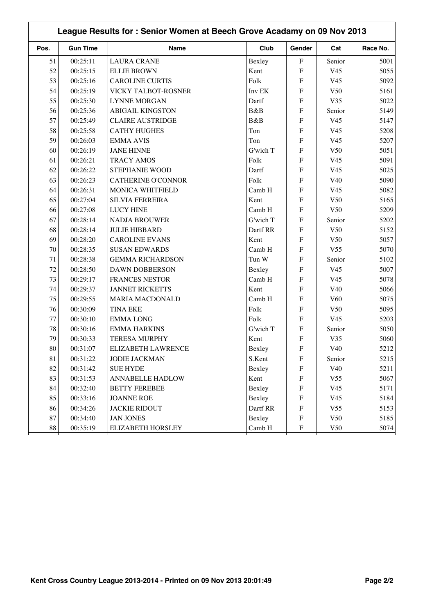|        | League Results for: Senior Women at Beech Grove Acadamy on 09 Nov 2013 |                           |          |                           |                 |          |  |
|--------|------------------------------------------------------------------------|---------------------------|----------|---------------------------|-----------------|----------|--|
| Pos.   | <b>Gun Time</b>                                                        | Name                      | Club     | Gender                    | Cat             | Race No. |  |
| 51     | 00:25:11                                                               | <b>LAURA CRANE</b>        | Bexley   | $\boldsymbol{\mathrm{F}}$ | Senior          | 5001     |  |
| 52     | 00:25:15                                                               | <b>ELLIE BROWN</b>        | Kent     | $\mathbf{F}$              | V <sub>45</sub> | 5055     |  |
| 53     | 00:25:16                                                               | <b>CAROLINE CURTIS</b>    | Folk     | $\mathbf F$               | V <sub>45</sub> | 5092     |  |
| 54     | 00:25:19                                                               | VICKY TALBOT-ROSNER       | Inv EK   | $\mathbf F$               | V <sub>50</sub> | 5161     |  |
| 55     | 00:25:30                                                               | <b>LYNNE MORGAN</b>       | Dartf    | $\mathbf F$               | V35             | 5022     |  |
| 56     | 00:25:36                                                               | <b>ABIGAIL KINGSTON</b>   | B&B      | $\mathbf F$               | Senior          | 5149     |  |
| 57     | 00:25:49                                                               | <b>CLAIRE AUSTRIDGE</b>   | B&B      | $\mathbf F$               | V <sub>45</sub> | 5147     |  |
| 58     | 00:25:58                                                               | <b>CATHY HUGHES</b>       | Ton      | $\mathbf{F}$              | V <sub>45</sub> | 5208     |  |
| 59     | 00:26:03                                                               | <b>EMMA AVIS</b>          | Ton      | $\mathbf F$               | V <sub>45</sub> | 5207     |  |
| 60     | 00:26:19                                                               | <b>JANE HINNE</b>         | G'wich T | $\mathbf F$               | V <sub>50</sub> | 5051     |  |
| 61     | 00:26:21                                                               | <b>TRACY AMOS</b>         | Folk     | $\mathbf F$               | V <sub>45</sub> | 5091     |  |
| 62     | 00:26:22                                                               | STEPHANIE WOOD            | Dartf    | $\mathbf F$               | V <sub>45</sub> | 5025     |  |
| 63     | 00:26:23                                                               | <b>CATHERINE O'CONNOR</b> | Folk     | $\mathbf F$               | V40             | 5090     |  |
| 64     | 00:26:31                                                               | MONICA WHITFIELD          | Camb H   | $\mathbf F$               | V <sub>45</sub> | 5082     |  |
| 65     | 00:27:04                                                               | <b>SILVIA FERREIRA</b>    | Kent     | $\mathbf F$               | V <sub>50</sub> | 5165     |  |
| 66     | 00:27:08                                                               | <b>LUCY HINE</b>          | Camb H   | $\mathbf F$               | V <sub>50</sub> | 5209     |  |
| 67     | 00:28:14                                                               | <b>NADJA BROUWER</b>      | G'wich T | $\mathbf{F}$              | Senior          | 5202     |  |
| 68     | 00:28:14                                                               | <b>JULIE HIBBARD</b>      | Dartf RR | $\mathbf F$               | V <sub>50</sub> | 5152     |  |
| 69     | 00:28:20                                                               | <b>CAROLINE EVANS</b>     | Kent     | $\mathbf F$               | V <sub>50</sub> | 5057     |  |
| 70     | 00:28:35                                                               | <b>SUSAN EDWARDS</b>      | Camb H   | $\mathbf F$               | V <sub>55</sub> | 5070     |  |
| 71     | 00:28:38                                                               | <b>GEMMA RICHARDSON</b>   | Tun W    | $\mathbf F$               | Senior          | 5102     |  |
| 72     | 00:28:50                                                               | <b>DAWN DOBBERSON</b>     | Bexley   | $\mathbf F$               | V <sub>45</sub> | 5007     |  |
| 73     | 00:29:17                                                               | <b>FRANCES NESTOR</b>     | Camb H   | $\mathbf{F}$              | V <sub>45</sub> | 5078     |  |
| 74     | 00:29:37                                                               | <b>JANNET RICKETTS</b>    | Kent     | $\mathbf{F}$              | V40             | 5066     |  |
| 75     | 00:29:55                                                               | MARIA MACDONALD           | Camb H   | $\mathbf{F}$              | V60             | 5075     |  |
| 76     | 00:30:09                                                               | <b>TINA EKE</b>           | Folk     | $\mathbf F$               | V50             | 5095     |  |
| 77     | 00:30:10                                                               | <b>EMMALONG</b>           | Folk     | $\mathbf F$               | V <sub>45</sub> | 5203     |  |
| 78     | 00:30:16                                                               | <b>EMMA HARKINS</b>       | G'wich T | $\boldsymbol{\mathrm{F}}$ | Senior          | 5050     |  |
| 79     | 00:30:33                                                               | <b>TERESA MURPHY</b>      | Kent     | $\mathbf F$               | V35             | 5060     |  |
| $80\,$ | 00:31:07                                                               | ELIZABETH LAWRENCE        | Bexley   | ${\bf F}$                 | V40             | 5212     |  |
| 81     | 00:31:22                                                               | <b>JODIE JACKMAN</b>      | S.Kent   | ${\bf F}$                 | Senior          | 5215     |  |
| 82     | 00:31:42                                                               | <b>SUE HYDE</b>           | Bexley   | $\boldsymbol{\mathrm{F}}$ | V40             | 5211     |  |
| 83     | 00:31:53                                                               | <b>ANNABELLE HADLOW</b>   | Kent     | ${\bf F}$                 | V <sub>55</sub> | 5067     |  |
| 84     | 00:32:40                                                               | <b>BETTY FEREBEE</b>      | Bexley   | $\boldsymbol{\mathrm{F}}$ | V <sub>45</sub> | 5171     |  |
| 85     | 00:33:16                                                               | <b>JOANNE ROE</b>         | Bexley   | $\boldsymbol{\mathrm{F}}$ | V <sub>45</sub> | 5184     |  |
| 86     | 00:34:26                                                               | <b>JACKIE RIDOUT</b>      | Dartf RR | $\boldsymbol{\mathrm{F}}$ | V <sub>55</sub> | 5153     |  |
| 87     | 00:34:40                                                               | <b>JAN JONES</b>          | Bexley   | ${\bf F}$                 | V50             | 5185     |  |
| $88\,$ | 00:35:19                                                               | ELIZABETH HORSLEY         | Camb H   | $\boldsymbol{\mathrm{F}}$ | V50             | 5074     |  |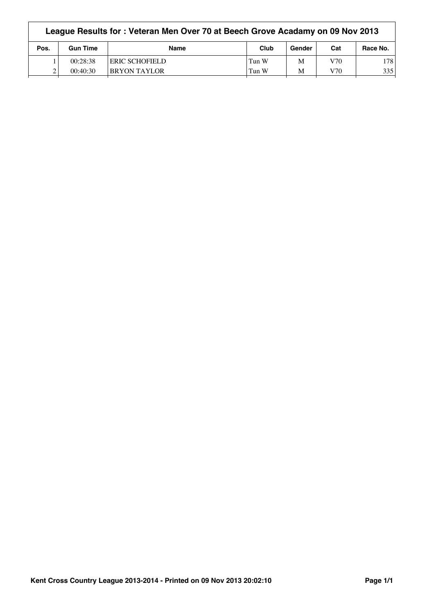|      | League Results for: Veteran Men Over 70 at Beech Grove Acadamy on 09 Nov 2013 |                 |       |        |     |          |  |
|------|-------------------------------------------------------------------------------|-----------------|-------|--------|-----|----------|--|
| Pos. | <b>Gun Time</b>                                                               | <b>Name</b>     | Club  | Gender | Cat | Race No. |  |
|      | 00:28:38                                                                      | 'ERIC SCHOFIELD | Tun W | M      | V70 | 178      |  |
|      | 00:40:30                                                                      | BRYON TAYLOR    | Tun W | M      | V70 | 335      |  |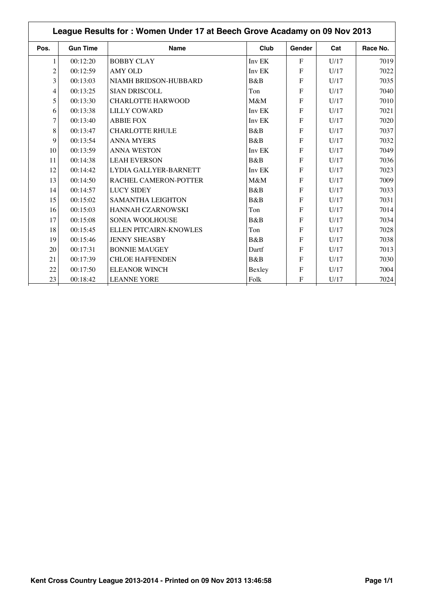|                | League Results for: Women Under 17 at Beech Grove Acadamy on 09 Nov 2013 |                          |        |                |      |          |  |  |
|----------------|--------------------------------------------------------------------------|--------------------------|--------|----------------|------|----------|--|--|
| Pos.           | <b>Gun Time</b>                                                          | <b>Name</b>              | Club   | Gender         | Cat  | Race No. |  |  |
| $\mathbf{1}$   | 00:12:20                                                                 | <b>BOBBY CLAY</b>        | Inv EK | $\overline{F}$ | U/17 | 7019     |  |  |
| $\overline{2}$ | 00:12:59                                                                 | <b>AMY OLD</b>           | Inv EK | F              | U/17 | 7022     |  |  |
| 3              | 00:13:03                                                                 | NIAMH BRIDSON-HUBBARD    | B&B    | F              | U/17 | 7035     |  |  |
| 4              | 00:13:25                                                                 | <b>SIAN DRISCOLL</b>     | Ton    | F              | U/17 | 7040     |  |  |
| 5              | 00:13:30                                                                 | <b>CHARLOTTE HARWOOD</b> | M&M    | F              | U/17 | 7010     |  |  |
| 6              | 00:13:38                                                                 | <b>LILLY COWARD</b>      | Inv EK | F              | U/17 | 7021     |  |  |
| 7              | 00:13:40                                                                 | <b>ABBIE FOX</b>         | Inv EK | F              | U/17 | 7020     |  |  |
| 8              | 00:13:47                                                                 | <b>CHARLOTTE RHULE</b>   | B&B    | $\mathbf{F}$   | U/17 | 7037     |  |  |
| 9              | 00:13:54                                                                 | <b>ANNA MYERS</b>        | B&B    | F              | U/17 | 7032     |  |  |
| 10             | 00:13:59                                                                 | <b>ANNA WESTON</b>       | Inv EK | F              | U/17 | 7049     |  |  |
| 11             | 00:14:38                                                                 | <b>LEAH EVERSON</b>      | B&B    | $\mathbf{F}$   | U/17 | 7036     |  |  |
| 12             | 00:14:42                                                                 | LYDIA GALLYER-BARNETT    | Inv EK | F              | U/17 | 7023     |  |  |
| 13             | 00:14:50                                                                 | RACHEL CAMERON-POTTER    | M&M    | F              | U/17 | 7009     |  |  |
| 14             | 00:14:57                                                                 | <b>LUCY SIDEY</b>        | B&B    | $\mathbf{F}$   | U/17 | 7033     |  |  |
| 15             | 00:15:02                                                                 | <b>SAMANTHA LEIGHTON</b> | B&B    | F              | U/17 | 7031     |  |  |
| 16             | 00:15:03                                                                 | HANNAH CZARNOWSKI        | Ton    | F              | U/17 | 7014     |  |  |
| 17             | 00:15:08                                                                 | SONIA WOOLHOUSE          | B&B    | $\mathbf{F}$   | U/17 | 7034     |  |  |
| 18             | 00:15:45                                                                 | ELLEN PITCAIRN-KNOWLES   | Ton    | F              | U/17 | 7028     |  |  |
| 19             | 00:15:46                                                                 | <b>JENNY SHEASBY</b>     | B&B    | F              | U/17 | 7038     |  |  |
| 20             | 00:17:31                                                                 | <b>BONNIE MAUGEY</b>     | Dartf  | F              | U/17 | 7013     |  |  |
| 21             | 00:17:39                                                                 | <b>CHLOE HAFFENDEN</b>   | B&B    | F              | U/17 | 7030     |  |  |
| 22             | 00:17:50                                                                 | <b>ELEANOR WINCH</b>     | Bexley | $\mathbf{F}$   | U/17 | 7004     |  |  |
| 23             | 00:18:42                                                                 | <b>LEANNE YORE</b>       | Folk   | F              | U/17 | 7024     |  |  |